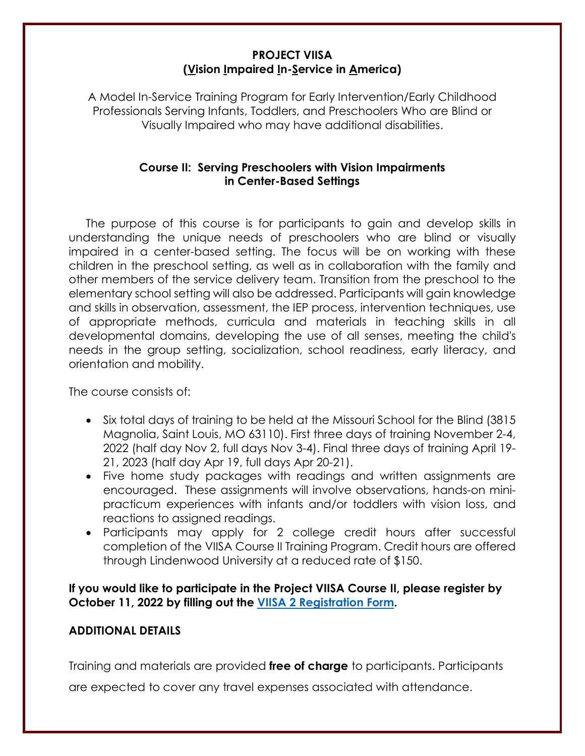### **PROJECT VIISA (Vision Impaired In-Service in America)**

A Model In-Service Training Program for Early Intervention/Early Childhood Professionals Serving Infants, Toddlers, and Preschoolers Who are Blind or Visually Impaired who may have additional disabilities.

## **Course II: Serving Preschoolers with Vision Impairments in Center-Based Settings**

The purpose of this course is for participants to gain and develop skills in understanding the unique needs of preschoolers who are blind or visually impaired in a center-based setting. The focus will be on working with these children in the preschool setting, as well as in collaboration with the family and other members of the service delivery team. Transition from the preschool to the elementary school setting will also be addressed. Participants will gain knowledge and skills in observation, assessment, the IEP process, intervention techniques, use of appropriate methods, curricula and materials in teaching skills in all developmental domains, developing the use of all senses, meeting the child's needs in the group setting, socialization, school readiness, early literacy, and orientation and mobility.

The course consists of:

- Six total days of training to be held at the Missouri School for the Blind (3815 Magnolia, Saint Louis, MO 63110). First three days of training November 2-4, 2022 (half day Nov 2, full days Nov 3-4). Final three days of training April 19- 21, 2023 (half day Apr 19, full days Apr 20-21).
- Five home study packages with readings and written assignments are encouraged. These assignments will involve observations, hands-on minipracticum experiences with infants and/or toddlers with vision loss, and reactions to assigned readings.
- Participants may apply for 2 college credit hours after successful completion of the VIISA Course II Training Program. Credit hours are offered through Lindenwood University at a reduced rate of \$150.

**If you would like to participate in the Project VIISA Course II, please register by October 11, 2022 by filling out the [VIISA 2 Registration Form.](https://www.surveymonkey.com/r/M7C2HTG)**

### **ADDITIONAL DETAILS**

Training and materials are provided **free of charge** to participants. Participants

are expected to cover any travel expenses associated with attendance.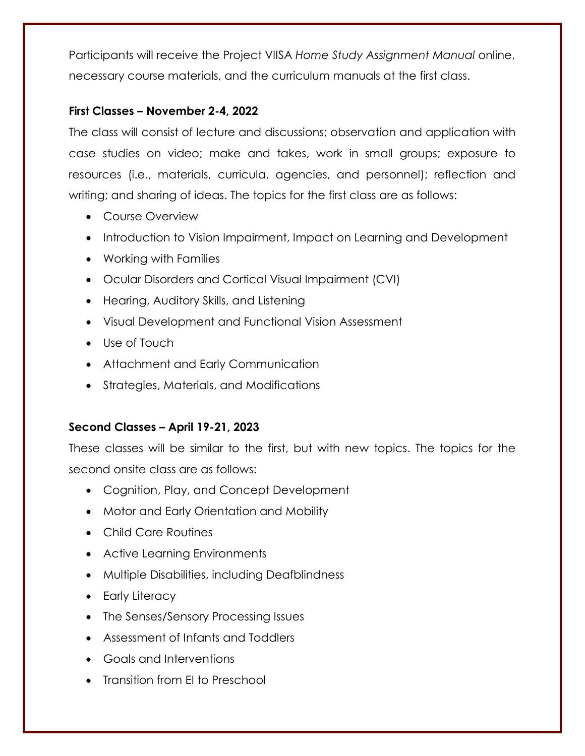Participants will receive the Project VIISA *Home Study Assignment Manual* online, necessary course materials, and the curriculum manuals at the first class.

## **First Classes – November 2-4, 2022**

The class will consist of lecture and discussions; observation and application with case studies on video; make and takes, work in small groups; exposure to resources (i.e., materials, curricula, agencies, and personnel); reflection and writing; and sharing of ideas. The topics for the first class are as follows:

- Course Overview
- Introduction to Vision Impairment, Impact on Learning and Development
- Working with Families
- Ocular Disorders and Cortical Visual Impairment (CVI)
- Hearing, Auditory Skills, and Listening
- Visual Development and Functional Vision Assessment
- Use of Touch
- Attachment and Early Communication
- Strategies, Materials, and Modifications

# **Second Classes – April 19-21, 2023**

These classes will be similar to the first, but with new topics. The topics for the second onsite class are as follows:

- Cognition, Play, and Concept Development
- Motor and Early Orientation and Mobility
- Child Care Routines
- Active Learning Environments
- Multiple Disabilities, including Deafblindness
- Early Literacy
- The Senses/Sensory Processing Issues
- Assessment of Infants and Toddlers
- Goals and Interventions
- Transition from EI to Preschool